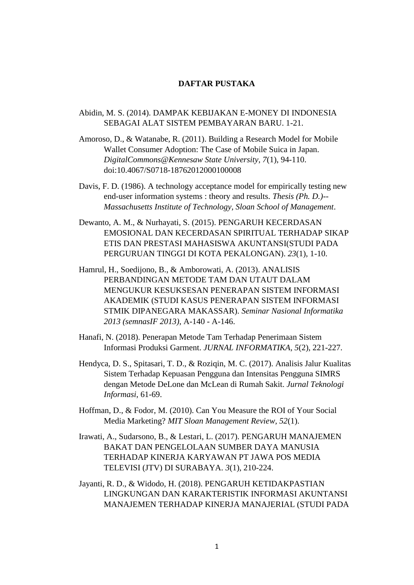## **DAFTAR PUSTAKA**

- Abidin, M. S. (2014). DAMPAK KEBIJAKAN E-MONEY DI INDONESIA SEBAGAI ALAT SISTEM PEMBAYARAN BARU. 1-21.
- Amoroso, D., & Watanabe, R. (2011). Building a Research Model for Mobile Wallet Consumer Adoption: The Case of Mobile Suica in Japan. *DigitalCommons@Kennesaw State University, 7*(1), 94-110. doi:10.4067/S0718-18762012000100008
- Davis, F. D. (1986). A technology acceptance model for empirically testing new end-user information systems : theory and results. *Thesis (Ph. D.)-- Massachusetts Institute of Technology, Sloan School of Management*.
- Dewanto, A. M., & Nurhayati, S. (2015). PENGARUH KECERDASAN EMOSIONAL DAN KECERDASAN SPIRITUAL TERHADAP SIKAP ETIS DAN PRESTASI MAHASISWA AKUNTANSI(STUDI PADA PERGURUAN TINGGI DI KOTA PEKALONGAN). *23*(1), 1-10.
- Hamrul, H., Soedijono, B., & Amborowati, A. (2013). ANALISIS PERBANDINGAN METODE TAM DAN UTAUT DALAM MENGUKUR KESUKSESAN PENERAPAN SISTEM INFORMASI AKADEMIK (STUDI KASUS PENERAPAN SISTEM INFORMASI STMIK DIPANEGARA MAKASSAR). *Seminar Nasional Informatika 2013 (semnasIF 2013)*, A-140 - A-146.
- Hanafi, N. (2018). Penerapan Metode Tam Terhadap Penerimaan Sistem Informasi Produksi Garment. *JURNAL INFORMATIKA, 5*(2), 221-227.
- Hendyca, D. S., Spitasari, T. D., & Roziqin, M. C. (2017). Analisis Jalur Kualitas Sistem Terhadap Kepuasan Pengguna dan Intensitas Pengguna SIMRS dengan Metode DeLone dan McLean di Rumah Sakit. *Jurnal Teknologi Informasi*, 61-69.
- Hoffman, D., & Fodor, M. (2010). Can You Measure the ROI of Your Social Media Marketing? *MIT Sloan Management Review, 52*(1).
- Irawati, A., Sudarsono, B., & Lestari, L. (2017). PENGARUH MANAJEMEN BAKAT DAN PENGELOLAAN SUMBER DAYA MANUSIA TERHADAP KINERJA KARYAWAN PT JAWA POS MEDIA TELEVISI (JTV) DI SURABAYA. *3*(1), 210-224.
- Jayanti, R. D., & Widodo, H. (2018). PENGARUH KETIDAKPASTIAN LINGKUNGAN DAN KARAKTERISTIK INFORMASI AKUNTANSI MANAJEMEN TERHADAP KINERJA MANAJERIAL (STUDI PADA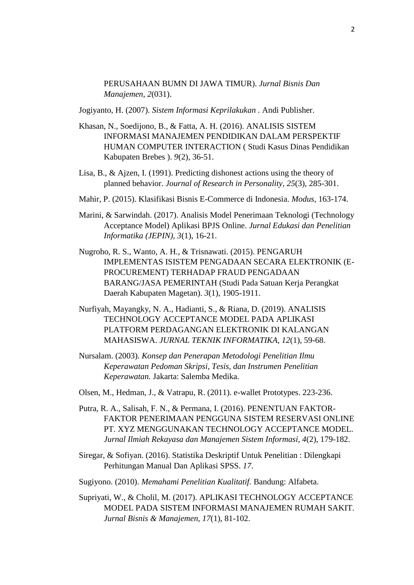PERUSAHAAN BUMN DI JAWA TIMUR). *Jurnal Bisnis Dan Manajemen, 2*(031).

Jogiyanto, H. (2007). *Sistem Informasi Keprilakukan .* Andi Publisher.

- Khasan, N., Soedijono, B., & Fatta, A. H. (2016). ANALISIS SISTEM INFORMASI MANAJEMEN PENDIDIKAN DALAM PERSPEKTIF HUMAN COMPUTER INTERACTION ( Studi Kasus Dinas Pendidikan Kabupaten Brebes ). *9*(2), 36-51.
- Lisa, B., & Ajzen, I. (1991). Predicting dishonest actions using the theory of planned behavior. *Journal of Research in Personality, 25*(3), 285-301.
- Mahir, P. (2015). Klasifikasi Bisnis E-Commerce di Indonesia. *Modus*, 163-174.
- Marini, & Sarwindah. (2017). Analisis Model Penerimaan Teknologi (Technology Acceptance Model) Aplikasi BPJS Online. *Jurnal Edukasi dan Penelitian Informatika (JEPIN), 3*(1), 16-21.
- Nugroho, R. S., Wanto, A. H., & Trisnawati. (2015). PENGARUH IMPLEMENTAS ISISTEM PENGADAAN SECARA ELEKTRONIK (E-PROCUREMENT) TERHADAP FRAUD PENGADAAN BARANG/JASA PEMERINTAH (Studi Pada Satuan Kerja Perangkat Daerah Kabupaten Magetan). *3*(1), 1905-1911.
- Nurfiyah, Mayangky, N. A., Hadianti, S., & Riana, D. (2019). ANALISIS TECHNOLOGY ACCEPTANCE MODEL PADA APLIKASI PLATFORM PERDAGANGAN ELEKTRONIK DI KALANGAN MAHASISWA. *JURNAL TEKNIK INFORMATIKA, 12*(1), 59-68.
- Nursalam. (2003). *Konsep dan Penerapan Metodologi Penelitian Ilmu Keperawatan Pedoman Skripsi, Tesis, dan Instrumen Penelitian Keperawatan.* Jakarta: Salemba Medika.
- Olsen, M., Hedman, J., & Vatrapu, R. (2011). e-wallet Prototypes. 223-236.
- Putra, R. A., Salisah, F. N., & Permana, I. (2016). PENENTUAN FAKTOR-FAKTOR PENERIMAAN PENGGUNA SISTEM RESERVASI ONLINE PT. XYZ MENGGUNAKAN TECHNOLOGY ACCEPTANCE MODEL. *Jurnal Ilmiah Rekayasa dan Manajemen Sistem Informasi, 4*(2), 179-182.
- Siregar, & Sofiyan. (2016). Statistika Deskriptif Untuk Penelitian : Dilengkapi Perhitungan Manual Dan Aplikasi SPSS. *17*.
- Sugiyono. (2010). *Memahami Penelitian Kualitatif.* Bandung: Alfabeta.
- Supriyati, W., & Cholil, M. (2017). APLIKASI TECHNOLOGY ACCEPTANCE MODEL PADA SISTEM INFORMASI MANAJEMEN RUMAH SAKIT. *Jurnal Bisnis & Manajemen, 17*(1), 81-102.